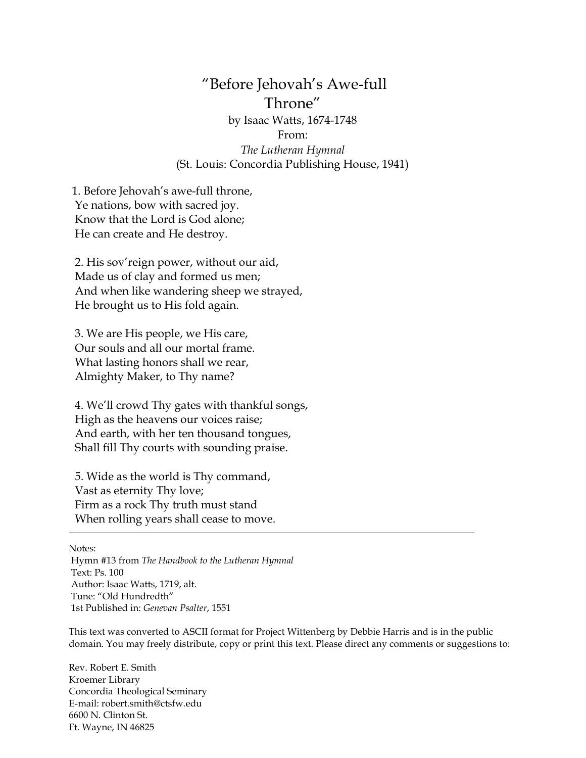## "Before Jehovah's Awe-full Throne" by Isaac Watts, 1674-1748 From: *The Lutheran Hymnal* (St. Louis: Concordia Publishing House, 1941)

1. Before Jehovah's awe-full throne, Ye nations, bow with sacred joy. Know that the Lord is God alone; He can create and He destroy.

2. His sov'reign power, without our aid, Made us of clay and formed us men; And when like wandering sheep we strayed, He brought us to His fold again.

3. We are His people, we His care, Our souls and all our mortal frame. What lasting honors shall we rear, Almighty Maker, to Thy name?

4. We'll crowd Thy gates with thankful songs, High as the heavens our voices raise; And earth, with her ten thousand tongues, Shall fill Thy courts with sounding praise.

5. Wide as the world is Thy command, Vast as eternity Thy love; Firm as a rock Thy truth must stand When rolling years shall cease to move.

Notes:

Hymn #13 from *The Handbook to the Lutheran Hymnal* Text: Ps. 100 Author: Isaac Watts, 1719, alt. Tune: "Old Hundredth" 1st Published in: *Genevan Psalter*, 1551

This text was converted to ASCII format for Project Wittenberg by Debbie Harris and is in the public domain. You may freely distribute, copy or print this text. Please direct any comments or suggestions to:

Rev. Robert E. Smith Kroemer Library Concordia Theological Seminary E-mail: [robert.smith@ctsfw.edu](mailto:robert.smith@ctsfw.edu) 6600 N. Clinton St. Ft. Wayne, IN 46825